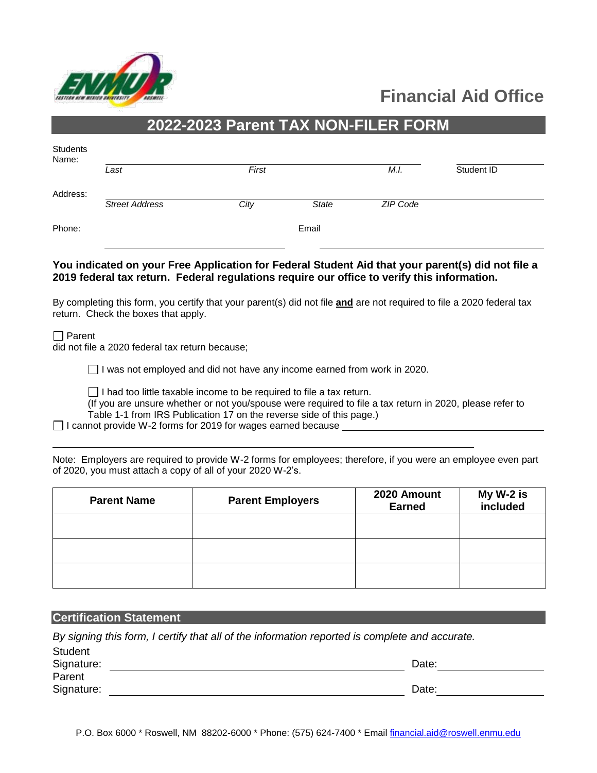

# **Financial Aid Office**

## **2022-2023 Parent TAX NON-FILER FORM**

| Students<br>Name: |                       |       |       |          |            |
|-------------------|-----------------------|-------|-------|----------|------------|
|                   | Last                  | First |       | M.I.     | Student ID |
| Address:          | <b>Street Address</b> | City  | State | ZIP Code |            |
| Phone:            |                       |       | Email |          |            |

#### **You indicated on your Free Application for Federal Student Aid that your parent(s) did not file a 2019 federal tax return. Federal regulations require our office to verify this information.**

By completing this form, you certify that your parent(s) did not file **and** are not required to file a 2020 federal tax return. Check the boxes that apply.

 $\Box$  Parent

did not file a 2020 federal tax return because;

□ I was not employed and did not have any income earned from work in 2020.

 $\Box$  I had too little taxable income to be required to file a tax return.

(If you are unsure whether or not you/spouse were required to file a tax return in 2020, please refer to Table 1-1 from IRS Publication 17 on the reverse side of this page.)

 $\Box$  I cannot provide W-2 forms for 2019 for wages earned because

|  | Note: Employers are required to provide W-2 forms for employees; therefore, if you were an employee even part |  |  |  |  |
|--|---------------------------------------------------------------------------------------------------------------|--|--|--|--|
|  | of 2020, you must attach a copy of all of your 2020 W-2's.                                                    |  |  |  |  |

| <b>Parent Name</b> | <b>Parent Employers</b> | 2020 Amount<br><b>Earned</b> | My W-2 is<br>included |  |
|--------------------|-------------------------|------------------------------|-----------------------|--|
|                    |                         |                              |                       |  |
|                    |                         |                              |                       |  |
|                    |                         |                              |                       |  |

#### **Certification Statement**

Student

*By signing this form, I certify that all of the information reported is complete and accurate.* 

| "<br>Signature: | Date: |
|-----------------|-------|
| Parent          |       |
| Signature:      | Date: |